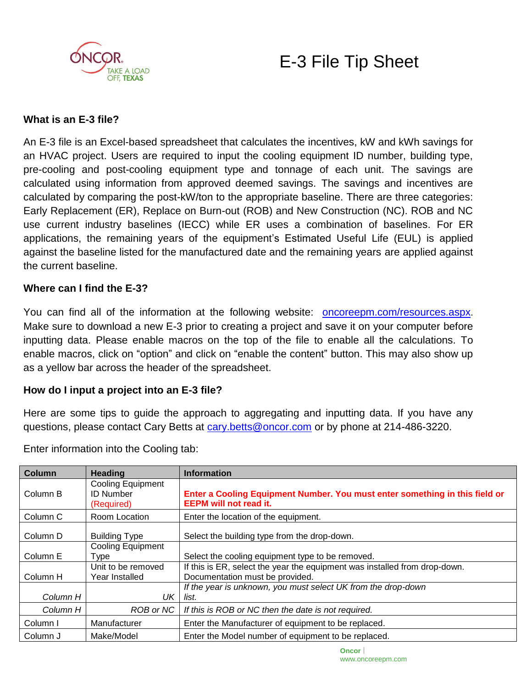

## E-3 File Tip Sheet

### **What is an E-3 file?**

An E-3 file is an Excel-based spreadsheet that calculates the incentives, kW and kWh savings for an HVAC project. Users are required to input the cooling equipment ID number, building type, pre-cooling and post-cooling equipment type and tonnage of each unit. The savings are calculated using information from approved deemed savings. The savings and incentives are calculated by comparing the post-kW/ton to the appropriate baseline. There are three categories: Early Replacement (ER), Replace on Burn-out (ROB) and New Construction (NC). ROB and NC use current industry baselines (IECC) while ER uses a combination of baselines. For ER applications, the remaining years of the equipment's Estimated Useful Life (EUL) is applied against the baseline listed for the manufactured date and the remaining years are applied against the current baseline.

#### **Where can I find the E-3?**

You can find all of the information at the following website: **[oncoreepm.com/resources.aspx](https://www.oncoreepm.com/resources.aspx)**. Make sure to download a new E-3 prior to creating a project and save it on your computer before inputting data. Please enable macros on the top of the file to enable all the calculations. To enable macros, click on "option" and click on "enable the content" button. This may also show up as a yellow bar across the header of the spreadsheet.

#### **How do I input a project into an E-3 file?**

Here are some tips to guide the approach to aggregating and inputting data. If you have any questions, please contact Cary Betts at [cary.betts@oncor.com](mailto:cary.betts@oncor.com) or by phone at 214-486-3220.

| <b>Column</b>       | <b>Heading</b>                                             | <b>Information</b>                                                                                            |
|---------------------|------------------------------------------------------------|---------------------------------------------------------------------------------------------------------------|
| Column B            | <b>Cooling Equipment</b><br><b>ID Number</b><br>(Required) | Enter a Cooling Equipment Number. You must enter something in this field or<br><b>EEPM</b> will not read it.  |
| Column <sub>C</sub> | Room Location                                              | Enter the location of the equipment.                                                                          |
| Column D            | <b>Building Type</b>                                       | Select the building type from the drop-down.                                                                  |
| Column E            | <b>Cooling Equipment</b><br>Type                           | Select the cooling equipment type to be removed.                                                              |
| Column H            | Unit to be removed<br>Year Installed                       | If this is ER, select the year the equipment was installed from drop-down.<br>Documentation must be provided. |
| Column H            | UK                                                         | If the year is unknown, you must select UK from the drop-down<br>list.                                        |
| Column H            | ROB or NC                                                  | If this is ROB or NC then the date is not required.                                                           |
| Column I            | Manufacturer                                               | Enter the Manufacturer of equipment to be replaced.                                                           |
| Column J            | Make/Model                                                 | Enter the Model number of equipment to be replaced.                                                           |

Enter information into the Cooling tab: